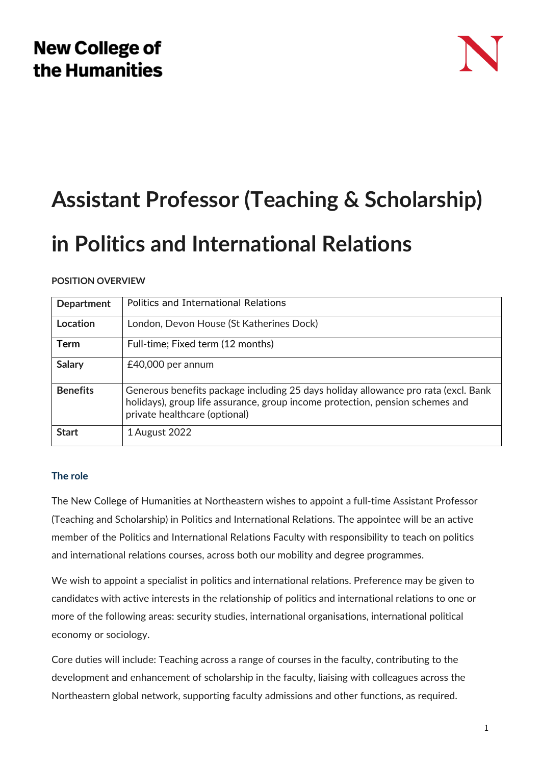# **New College of** the Humanities



# **Assistant Professor (Teaching & Scholarship)**

# **in Politics and International Relations**

## **POSITION OVERVIEW**

| <b>Department</b> | Politics and International Relations                                                                                                                                                                 |
|-------------------|------------------------------------------------------------------------------------------------------------------------------------------------------------------------------------------------------|
| Location          | London, Devon House (St Katherines Dock)                                                                                                                                                             |
| <b>Term</b>       | Full-time; Fixed term (12 months)                                                                                                                                                                    |
| Salary            | £40,000 per annum                                                                                                                                                                                    |
| <b>Benefits</b>   | Generous benefits package including 25 days holiday allowance pro rata (excl. Bank<br>holidays), group life assurance, group income protection, pension schemes and<br>private healthcare (optional) |
| <b>Start</b>      | 1 August 2022                                                                                                                                                                                        |

## **The role**

The New College of Humanities at Northeastern wishes to appoint a full-time Assistant Professor (Teaching and Scholarship) in Politics and International Relations. The appointee will be an active member of the Politics and International Relations Faculty with responsibility to teach on politics and international relations courses, across both our mobility and degree programmes.

We wish to appoint a specialist in politics and international relations. Preference may be given to candidates with active interests in the relationship of politics and international relations to one or more of the following areas: security studies, international organisations, international political economy or sociology.

Core duties will include: Teaching across a range of courses in the faculty, contributing to the development and enhancement of scholarship in the faculty, liaising with colleagues across the Northeastern global network, supporting faculty admissions and other functions, as required.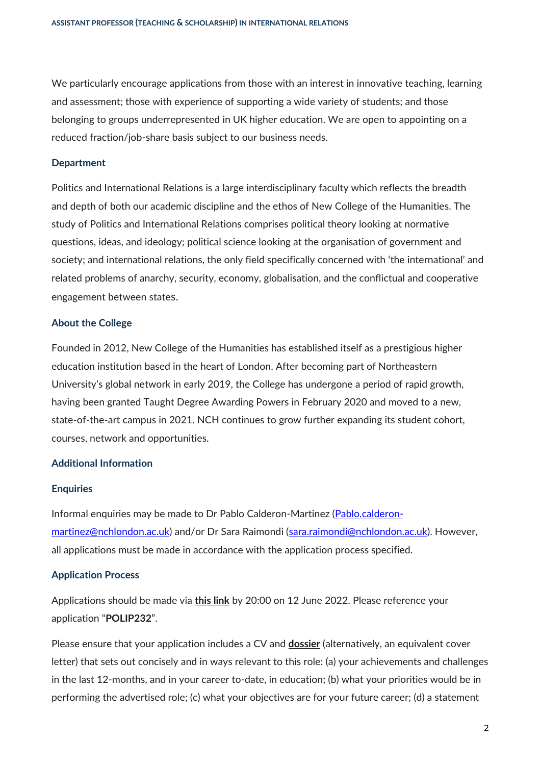We particularly encourage applications from those with an interest in innovative teaching, learning and assessment; those with experience of supporting a wide variety of students; and those belonging to groups underrepresented in UK higher education. We are open to appointing on a reduced fraction/job-share basis subject to our business needs.

#### **Department**

Politics and International Relations is a large interdisciplinary faculty which reflects the breadth and depth of both our academic discipline and the ethos of New College of the Humanities. The study of Politics and International Relations comprises political theory looking at normative questions, ideas, and ideology; political science looking at the organisation of government and society; and international relations, the only field specifically concerned with 'the international' and related problems of anarchy, security, economy, globalisation, and the conflictual and cooperative engagement between states.

#### **About the College**

Founded in 2012, New College of the Humanities has established itself as a prestigious higher education institution based in the heart of London. After becoming part of Northeastern University's global network in early 2019, the College has undergone a period of rapid growth, having been granted Taught Degree Awarding Powers in February 2020 and moved to a new, state-of-the-art campus in 2021. NCH continues to grow further expanding its student cohort, courses, network and opportunities.

#### **Additional Information**

#### **Enquiries**

Informal enquiries may be made to Dr Pablo Calderon-Martinez [\(Pablo.calderon](mailto:Pablo.calderon-martinez@nchlondon.ac.uk)[martinez@nchlondon.ac.uk\)](mailto:Pablo.calderon-martinez@nchlondon.ac.uk) and/or Dr Sara Raimondi [\(sara.raimondi@nchlondon.ac.uk\)](mailto:sara.raimondi@nchlondon.ac.uk). However, all applications must be made in accordance with the application process specified.

#### **Application Process**

Applications should be made via **[this link](https://share.hsforms.com/1p3G6XPo_QD-X7V9aRnSTYQ2peji)** by 20:00 on 12 June 2022. Please reference your application "**POLIP232**".

Please ensure that your application includes a CV and **[dossier](https://www.nchlondon.ac.uk/wp-content/uploads/2021/11/Academic-Dossier-TS-FINAL.doc)** (alternatively, an equivalent cover letter) that sets out concisely and in ways relevant to this role: (a) your achievements and challenges in the last 12-months, and in your career to-date, in education; (b) what your priorities would be in performing the advertised role; (c) what your objectives are for your future career; (d) a statement